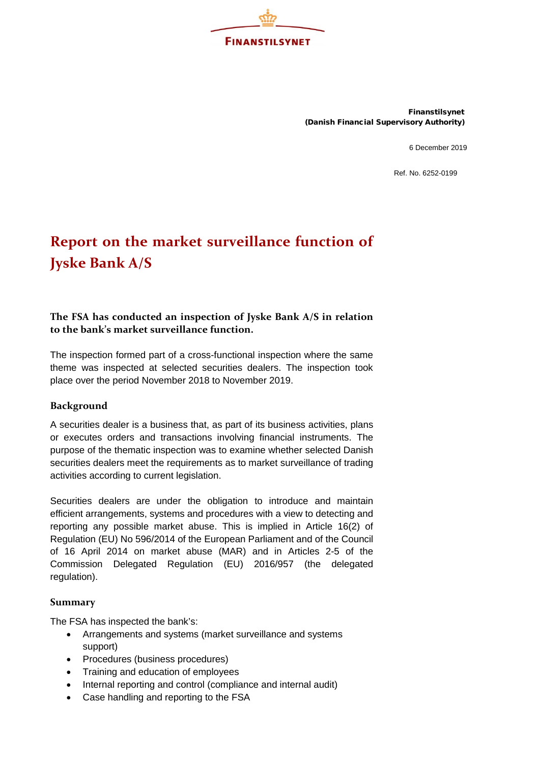

Finanstilsynet (Danish Financial Supervisory Authority)

6 December 2019

Ref. No. 6252-0199

## **Report on the market surveillance function of Jyske Bank A/S**

## **The FSA has conducted an inspection of Jyske Bank A/S in relation to the bank's market surveillance function.**

The inspection formed part of a cross-functional inspection where the same theme was inspected at selected securities dealers. The inspection took place over the period November 2018 to November 2019.

## **Background**

A securities dealer is a business that, as part of its business activities, plans or executes orders and transactions involving financial instruments. The purpose of the thematic inspection was to examine whether selected Danish securities dealers meet the requirements as to market surveillance of trading activities according to current legislation.

Securities dealers are under the obligation to introduce and maintain efficient arrangements, systems and procedures with a view to detecting and reporting any possible market abuse. This is implied in Article 16(2) of Regulation (EU) No 596/2014 of the European Parliament and of the Council of 16 April 2014 on market abuse (MAR) and in Articles 2-5 of the Commission Delegated Regulation (EU) 2016/957 (the delegated regulation).

## **Summary**

The FSA has inspected the bank's:

- Arrangements and systems (market surveillance and systems support)
- Procedures (business procedures)
- Training and education of employees
- Internal reporting and control (compliance and internal audit)
- Case handling and reporting to the FSA